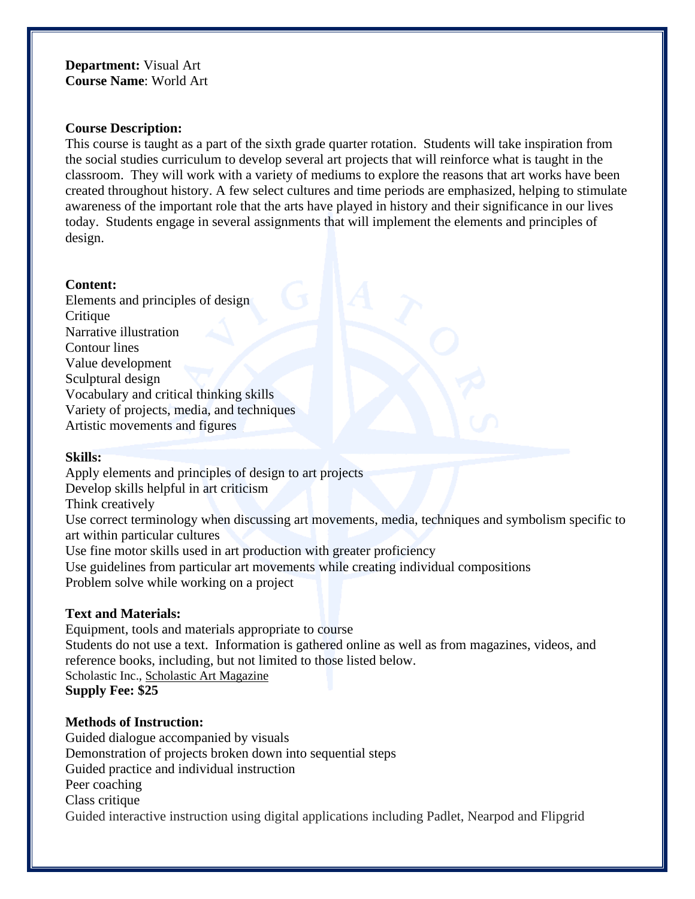### **Department:** Visual Art **Course Name**: World Art

### **Course Description:**

This course is taught as a part of the sixth grade quarter rotation. Students will take inspiration from the social studies curriculum to develop several art projects that will reinforce what is taught in the classroom. They will work with a variety of mediums to explore the reasons that art works have been created throughout history. A few select cultures and time periods are emphasized, helping to stimulate awareness of the important role that the arts have played in history and their significance in our lives today. Students engage in several assignments that will implement the elements and principles of design.

### **Content:**

Elements and principles of design **Critique** Narrative illustration Contour lines Value development Sculptural design Vocabulary and critical thinking skills Variety of projects, media, and techniques Artistic movements and figures

### **Skills:**

Apply elements and principles of design to art projects Develop skills helpful in art criticism Think creatively Use correct terminology when discussing art movements, media, techniques and symbolism specific to art within particular cultures Use fine motor skills used in art production with greater proficiency Use guidelines from particular art movements while creating individual compositions Problem solve while working on a project

## **Text and Materials:**

Equipment, tools and materials appropriate to course Students do not use a text. Information is gathered online as well as from magazines, videos, and reference books, including, but not limited to those listed below. Scholastic Inc., Scholastic Art Magazine **Supply Fee: \$25**

## **Methods of Instruction:**

Guided dialogue accompanied by visuals Demonstration of projects broken down into sequential steps Guided practice and individual instruction Peer coaching Class critique Guided interactive instruction using digital applications including Padlet, Nearpod and Flipgrid